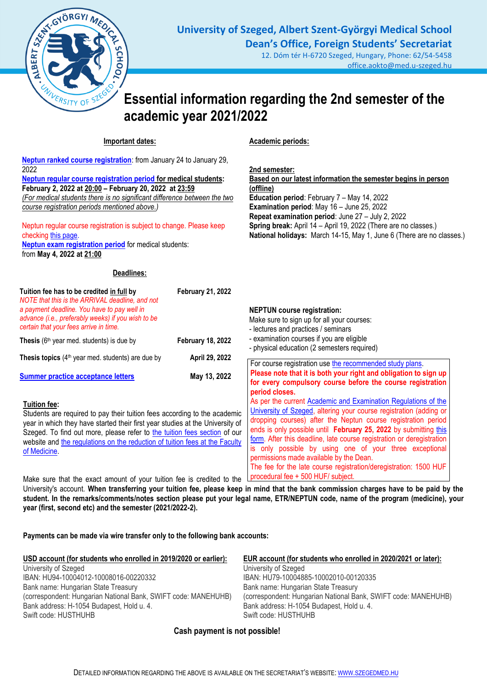

office.aokto@med.u-szeged.hu

# **Essential information regarding the 2nd semester of the academic year 2021/2022**

# **Important dates:**

**Neptun [ranked course registration](http://www.med.u-szeged.hu/fs/neptun/ranked-course)**: from January 24 to January 29, 2022 **[Neptun regular course registration period](http://web5.etr.u-szeged.hu:8080/naptar/Megnyitasrend/index.jsp?felev=2021-2022-2&kurzfel=I&lang=english) for medical students: February 2, 2022 at 20:00 – February 20, 2022 at 23:59** *(For medical students there is no significant difference between the two course registration periods mentioned above.)*

Neptun regular course registration is subject to change. Please keep checkin[g this page.](http://web5.etr.u-szeged.hu:8080/naptar/Megnyitasrend/index.jsp?felev=2021-2022-2&kurzfel=I&lang=english) **[Neptun exam registration period](http://web5.etr.u-szeged.hu:8080/naptar/Megnyitasrend/index.jsp?felev=2021-2022-2&kurzfel=N&lang=english)** for medical students: from **May 4, 2022 at 21:00**

## **Deadlines:**

**Academic periods:**

**2nd semester: Based on our latest information the semester begins in person (offline) Education period**: February 7 – May 14, 2022 **Examination period**: May 16 – June 25, 2022 **Repeat examination period**: June 27 – July 2, 2022 **Spring break:** April 14 – April 19, 2022 (There are no classes.) **National holidays:** March 14-15, May 1, June 6 (There are no classes.)

| Tuition fee has to be credited in full by<br>NOTE that this is the ARRIVAL deadline, and not<br>a payment deadline. You have to pay well in<br>advance (i.e., preferably weeks) if you wish to be<br>certain that your fees arrive in time.                                                                                                            | <b>February 21, 2022</b> | <b>NEPTUN</b> course registration:<br>Make sure to sign up for all your courses:<br>- lectures and practices / seminars                                                                                                                                                                                                                                                                                                                                                    |
|--------------------------------------------------------------------------------------------------------------------------------------------------------------------------------------------------------------------------------------------------------------------------------------------------------------------------------------------------------|--------------------------|----------------------------------------------------------------------------------------------------------------------------------------------------------------------------------------------------------------------------------------------------------------------------------------------------------------------------------------------------------------------------------------------------------------------------------------------------------------------------|
| Thesis (6 <sup>th</sup> year med. students) is due by                                                                                                                                                                                                                                                                                                  | <b>February 18, 2022</b> | - examination courses if you are eligible<br>- physical education (2 semesters required)                                                                                                                                                                                                                                                                                                                                                                                   |
| Thesis topics $(4th$ year med. students) are due by                                                                                                                                                                                                                                                                                                    | April 29, 2022           | For course registration use the recommended study plans.                                                                                                                                                                                                                                                                                                                                                                                                                   |
| <b>Summer practice acceptance letters</b>                                                                                                                                                                                                                                                                                                              | May 13, 2022             | Please note that it is both your right and obligation to sign up<br>for every compulsory course before the course registration                                                                                                                                                                                                                                                                                                                                             |
| Tuition fee:<br>Students are required to pay their tuition fees according to the academic<br>year in which they have started their first year studies at the University of<br>Szeged. To find out more, please refer to the tuition fees section of our<br>website and the regulations on the reduction of tuition fees at the Faculty<br>of Medicine. |                          | period closes.<br>As per the current Academic and Examination Regulations of the<br>University of Szeged, altering your course registration (adding or<br>dropping courses) after the Neptun course registration period<br>ends is only possible until February 25, 2022 by submitting this<br>form. After this deadline, late course registration or deregistration<br>is only possible by using one of your three exceptional<br>permissions made available by the Dean. |
| Make sure that the exact amount of your tuition fee is credited to the                                                                                                                                                                                                                                                                                 |                          | The fee for the late course registration/deregistration: 1500 HUF<br>procedural fee + 500 HUF/ subject.                                                                                                                                                                                                                                                                                                                                                                    |

University's account. **When transferring your tuition fee, please keep in mind that the bank commission charges have to be paid by the student. In the remarks/comments/notes section please put your legal name, ETR/NEPTUN code, name of the program (medicine), your year (first, second etc) and the semester (2021/2022-2).**

**Payments can be made via wire transfer only to the following bank accounts:**

| USD account (for students who enrolled in 2019/2020 or earlier): | EUR account (for students who enrolled in 2020/2021 or later): |
|------------------------------------------------------------------|----------------------------------------------------------------|
| University of Szeged                                             | University of Szeged                                           |
| IBAN: HU94-10004012-10008016-00220332                            | IBAN: HU79-10004885-10002010-00120335                          |
| Bank name: Hungarian State Treasury                              | Bank name: Hungarian State Treasury                            |
| (correspondent: Hungarian National Bank, SWIFT code: MANEHUHB)   | (correspondent: Hungarian National Bank, SWIFT code: MANEHUHB) |
| Bank address: H-1054 Budapest, Hold u. 4.                        | Bank address: H-1054 Budapest, Hold u. 4.                      |
| Swift code: HUSTHUHB                                             | Swift code: HUSTHUHB                                           |

# **Cash payment is not possible!**